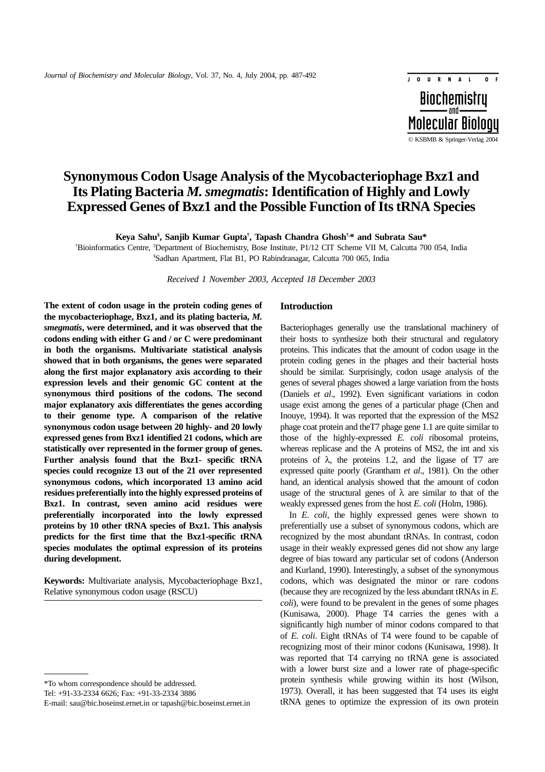# **Synonymous Codon Usage Analysis of the Mycobacteriophage Bxz1 and Its Plating Bacteria** *M. smegmatis***: Identification of Highly and Lowly Expressed Genes of Bxz1 and the Possible Function of Its tRNA Species**

**Keya Sahu§ , Sanjib Kumar Gupta† , Tapash Chandra Ghosh†,\* and Subrata Sau\***

† Bioinformatics Centre, ‡ Department of Biochemistry, Bose Institute, P1/12 CIT Scheme VII M, Calcutta 700 054, India § Sadhan Apartment, Flat B1, PO Rabindranagar, Calcutta 700 065, India

*Received 1 November 2003, Accepted 18 December 2003*

**The extent of codon usage in the protein coding genes of the mycobacteriophage, Bxz1, and its plating bacteria,** *M. smegmatis***, were determined, and it was observed that the codons ending with either G and / or C were predominant in both the organisms. Multivariate statistical analysis showed that in both organisms, the genes were separated along the first major explanatory axis according to their expression levels and their genomic GC content at the synonymous third positions of the codons. The second major explanatory axis differentiates the genes according to their genome type. A comparison of the relative synonymous codon usage between 20 highly- and 20 lowly expressed genes from Bxz1 identified 21 codons, which are statistically over represented in the former group of genes. Further analysis found that the Bxz1- specific tRNA species could recognize 13 out of the 21 over represented synonymous codons, which incorporated 13 amino acid residues preferentially into the highly expressed proteins of Bxz1. In contrast, seven amino acid residues were preferentially incorporated into the lowly expressed proteins by 10 other tRNA species of Bxz1. This analysis predicts for the first time that the Bxz1-specific tRNA species modulates the optimal expression of its proteins during development.**

**Keywords:** Multivariate analysis, Mycobacteriophage Bxz1, Relative synonymous codon usage (RSCU)

Tel: +91-33-2334 6626; Fax: +91-33-2334 3886

#### **Introduction**

Bacteriophages generally use the translational machinery of their hosts to synthesize both their structural and regulatory proteins. This indicates that the amount of codon usage in the protein coding genes in the phages and their bacterial hosts should be similar. Surprisingly, codon usage analysis of the genes of several phages showed a large variation from the hosts (Daniels *et al*., 1992). Even significant variations in codon usage exist among the genes of a particular phage (Chen and Inouye, 1994). It was reported that the expression of the MS2 phage coat protein and theT7 phage gene 1.1 are quite similar to those of the highly-expressed *E. coli* ribosomal proteins, whereas replicase and the A proteins of MS2, the int and xis proteins of  $\lambda$ , the proteins 1.2, and the ligase of T7 are expressed quite poorly (Grantham *et al*., 1981). On the other hand, an identical analysis showed that the amount of codon usage of the structural genes of  $\lambda$  are similar to that of the weakly expressed genes from the host *E. coli* (Holm, 1986).

© KSBMB & Springer-Verlag 2004

**Molecular Biology** 

**Biochemistru** 

JOURNAL

 $\overline{\phantom{a}}$ 

In *E. coli*, the highly expressed genes were shown to preferentially use a subset of synonymous codons, which are recognized by the most abundant tRNAs. In contrast, codon usage in their weakly expressed genes did not show any large degree of bias toward any particular set of codons (Anderson and Kurland, 1990). Interestingly, a subset of the synonymous codons, which was designated the minor or rare codons (because they are recognized by the less abundant tRNAs in *E. coli*), were found to be prevalent in the genes of some phages (Kunisawa, 2000). Phage T4 carries the genes with a significantly high number of minor codons compared to that of *E. coli*. Eight tRNAs of T4 were found to be capable of recognizing most of their minor codons (Kunisawa, 1998). It was reported that T4 carrying no tRNA gene is associated with a lower burst size and a lower rate of phage-specific protein synthesis while growing within its host (Wilson, 1973). Overall, it has been suggested that T4 uses its eight tRNA genes to optimize the expression of its own protein

<sup>\*</sup>To whom correspondence should be addressed.

E-mail: sau@bic.boseinst.ernet.in or tapash@bic.boseinst.ernet.in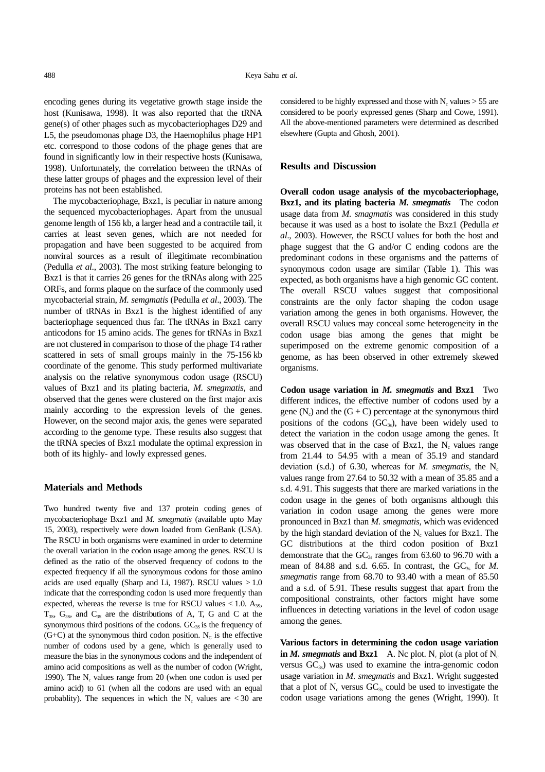encoding genes during its vegetative growth stage inside the host (Kunisawa, 1998). It was also reported that the tRNA gene(s) of other phages such as mycobacteriophages D29 and L5, the pseudomonas phage D3, the Haemophilus phage HP1 etc. correspond to those codons of the phage genes that are found in significantly low in their respective hosts (Kunisawa, 1998). Unfortunately, the correlation between the tRNAs of these latter groups of phages and the expression level of their proteins has not been established.

The mycobacteriophage, Bxz1, is peculiar in nature among the sequenced mycobacteriophages. Apart from the unusual genome length of 156 kb, a larger head and a contractile tail, it carries at least seven genes, which are not needed for propagation and have been suggested to be acquired from nonviral sources as a result of illegitimate recombination (Pedulla *et al*., 2003). The most striking feature belonging to Bxz1 is that it carries 26 genes for the tRNAs along with 225 ORFs, and forms plaque on the surface of the commonly used mycobacterial strain, *M. semgmatis* (Pedulla *et al*., 2003). The number of tRNAs in Bxz1 is the highest identified of any bacteriophage sequenced thus far. The tRNAs in Bxz1 carry anticodons for 15 amino acids. The genes for tRNAs in Bxz1 are not clustered in comparison to those of the phage T4 rather scattered in sets of small groups mainly in the 75-156 kb coordinate of the genome. This study performed multivariate analysis on the relative synonymous codon usage (RSCU) values of Bxz1 and its plating bacteria, *M. smegmatis,* and observed that the genes were clustered on the first major axis mainly according to the expression levels of the genes. However, on the second major axis, the genes were separated according to the genome type. These results also suggest that the tRNA species of Bxz1 modulate the optimal expression in both of its highly- and lowly expressed genes.

### **Materials and Methods**

Two hundred twenty five and 137 protein coding genes of mycobacteriophage Bxz1 and *M. smegmatis* (available upto May 15, 2003), respectively were down loaded from GenBank (USA). The RSCU in both organisms were examined in order to determine the overall variation in the codon usage among the genes. RSCU is defined as the ratio of the observed frequency of codons to the expected frequency if all the synonymous codons for those amino acids are used equally (Sharp and Li, 1987). RSCU values  $>1.0$ indicate that the corresponding codon is used more frequently than expected, whereas the reverse is true for RSCU values  $< 1.0$ .  $A_{35}$ ,  $T_{3s}$ ,  $G_{3s}$ , and  $C_{3s}$  are the distributions of A, T, G and C at the synonymous third positions of the codons.  $GC_{3S}$  is the frequency of  $(G+C)$  at the synonymous third codon position. N<sub>c</sub> is the effective number of codons used by a gene, which is generally used to measure the bias in the synonymous codons and the independent of amino acid compositions as well as the number of codon (Wright, 1990). The  $N_c$  values range from 20 (when one codon is used per amino acid) to 61 (when all the codons are used with an equal probablity). The sequences in which the  $N_c$  values are  $\lt$  30 are considered to be highly expressed and those with  $N_c$  values  $> 55$  are considered to be poorly expressed genes (Sharp and Cowe, 1991). All the above-mentioned parameters were determined as described elsewhere (Gupta and Ghosh, 2001).

## **Results and Discussion**

**Overall codon usage analysis of the mycobacteriophage, Bxz1, and its plating bacteria** *M. smegmatis* The codon usage data from *M. smagmatis* was considered in this study because it was used as a host to isolate the Bxz1 (Pedulla *et al*., 2003). However, the RSCU values for both the host and phage suggest that the G and/or C ending codons are the predominant codons in these organisms and the patterns of synonymous codon usage are similar (Table 1). This was expected, as both organisms have a high genomic GC content. The overall RSCU values suggest that compositional constraints are the only factor shaping the codon usage variation among the genes in both organisms. However, the overall RSCU values may conceal some heterogeneity in the codon usage bias among the genes that might be superimposed on the extreme genomic composition of a genome, as has been observed in other extremely skewed organisms.

**Codon usage variation in** *M. smegmatis* **and Bxz1** Two different indices, the effective number of codons used by a gene  $(N_c)$  and the  $(G + C)$  percentage at the synonymous third positions of the codons  $(GC_{3s})$ , have been widely used to detect the variation in the codon usage among the genes. It was observed that in the case of Bxz1, the  $N_c$  values range from 21.44 to 54.95 with a mean of 35.19 and standard deviation (s.d.) of 6.30, whereas for *M. smegmatis*, the  $N_c$ values range from 27.64 to 50.32 with a mean of 35.85 and a s.d. 4.91. This suggests that there are marked variations in the codon usage in the genes of both organisms although this variation in codon usage among the genes were more pronounced in Bxz1 than *M. smegmatis*, which was evidenced by the high standard deviation of the  $N_c$  values for Bxz1. The GC distributions at the third codon position of Bxz1 demonstrate that the  $GC_{3s}$  ranges from 63.60 to 96.70 with a mean of 84.88 and s.d. 6.65. In contrast, the  $GC<sub>3s</sub>$  for *M*. *smegmatis* range from 68.70 to 93.40 with a mean of 85.50 and a s.d. of 5.91. These results suggest that apart from the compositional constraints, other factors might have some influences in detecting variations in the level of codon usage among the genes.

**Various factors in determining the codon usage variation in** *M. smegmatis* **and Bxz1** A. Nc plot. N<sub>c</sub> plot (a plot of  $N_c$ versus  $GC_{3s}$ ) was used to examine the intra-genomic codon usage variation in *M. smegmatis* and Bxz1. Wright suggested that a plot of  $N_c$  versus  $GC_{3s}$  could be used to investigate the codon usage variations among the genes (Wright, 1990). It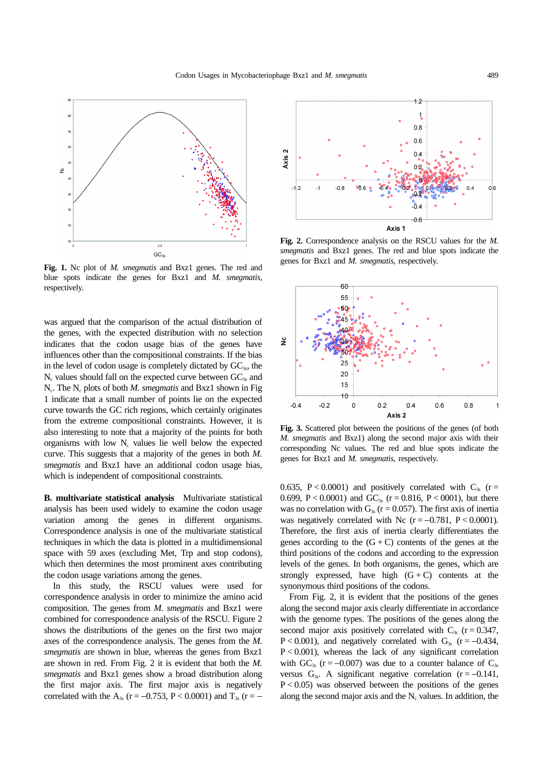

**Fig. 1.** Nc plot of *M. smegmatis* and Bxz1 genes. The red and blue spots indicate the genes for Bxz1 and *M. smegmatis*, respectively.

was argued that the comparison of the actual distribution of the genes, with the expected distribution with no selection indicates that the codon usage bias of the genes have influences other than the compositional constraints. If the bias in the level of codon usage is completely dictated by  $GC<sub>3s</sub>$ , the  $N_c$  values should fall on the expected curve between  $GC_{3s}$  and N<sub>c</sub>. The N<sub>c</sub> plots of both *M. smegmatis* and Bxz1 shown in Fig 1 indicate that a small number of points lie on the expected curve towards the GC rich regions, which certainly originates from the extreme compositional constraints. However, it is also interesting to note that a majority of the points for both organisms with low  $N_c$  values lie well below the expected curve. This suggests that a majority of the genes in both *M. smegmatis* and Bxz1 have an additional codon usage bias, which is independent of compositional constraints.

**B. multivariate statistical analysis** Multivariate statistical analysis has been used widely to examine the codon usage variation among the genes in different organisms. Correspondence analysis is one of the multivariate statistical techniques in which the data is plotted in a multidimensional space with 59 axes (excluding Met, Trp and stop codons), which then determines the most prominent axes contributing the codon usage variations among the genes.

In this study, the RSCU values were used for correspondence analysis in order to minimize the amino acid composition. The genes from *M. smegmatis* and Bxz1 were combined for correspondence analysis of the RSCU. Figure 2 shows the distributions of the genes on the first two major axes of the correspondence analysis. The genes from the *M. smegmatis* are shown in blue, whereas the genes from Bxz1 are shown in red. From Fig. 2 it is evident that both the *M. smegmatis* and Bxz1 genes show a broad distribution along the first major axis. The first major axis is negatively correlated with the A<sub>3s</sub> (r = −0.753, P < 0.0001) and T<sub>3s</sub> (r = −



**Fig. 2.** Correspondence analysis on the RSCU values for the *M. smegmatis* and Bxz1 genes. The red and blue spots indicate the genes for Bxz1 and *M. smegmatis*, respectively.



**Fig. 3.** Scattered plot between the positions of the genes (of both *M. smegmatis* and Bxz1) along the second major axis with their corresponding Nc values. The red and blue spots indicate the genes for Bxz1 and *M. smegmatis*, respectively.

0.635, P < 0.0001) and positively correlated with  $C_{3s}$  (r = 0.699, P < 0.0001) and GC<sub>3s</sub> (r = 0.816, P < 0001), but there was no correlation with  $G_{3s}$  (r = 0.057). The first axis of inertia was negatively correlated with Nc ( $r = -0.781$ , P < 0.0001). Therefore, the first axis of inertia clearly differentiates the genes according to the  $(G + C)$  contents of the genes at the third positions of the codons and according to the expression levels of the genes. In both organisms, the genes, which are strongly expressed, have high  $(G + C)$  contents at the synonymous third positions of the codons.

From Fig. 2, it is evident that the positions of the genes along the second major axis clearly differentiate in accordance with the genome types. The positions of the genes along the second major axis positively correlated with  $C_{3s}$  (r = 0.347, P < 0.001), and negatively correlated with  $G_{3s}$  (r = -0.434,  $P < 0.001$ ), whereas the lack of any significant correlation with GC<sub>3s</sub> (r = -0.007) was due to a counter balance of  $C_{3s}$ versus  $G_{3s}$ . A significant negative correlation (r = -0.141,  $P < 0.05$ ) was observed between the positions of the genes along the second major axis and the  $N_c$  values. In addition, the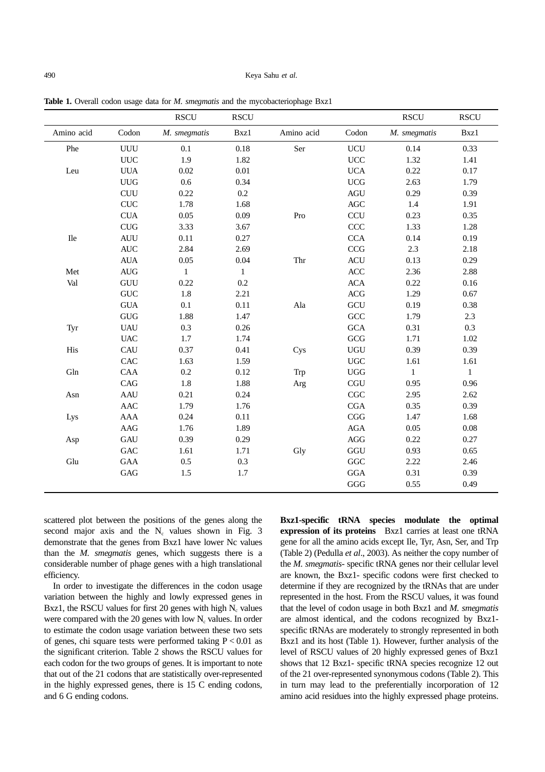#### 490 Keya Sahu *et al*.

|            |                                  | <b>RSCU</b>  | $\operatorname{RSCU}$ |            |                             | <b>RSCU</b>  | <b>RSCU</b> |
|------------|----------------------------------|--------------|-----------------------|------------|-----------------------------|--------------|-------------|
| Amino acid | Codon                            | M. smegmatis | Bxz1                  | Amino acid | Codon                       | M. smegmatis | Bxz1        |
| Phe        | <b>UUU</b>                       | 0.1          | 0.18                  | Ser        | <b>UCU</b>                  | 0.14         | 0.33        |
|            | UUC                              | 1.9          | 1.82                  |            | <b>UCC</b>                  | 1.32         | 1.41        |
| Leu        | <b>UUA</b>                       | 0.02         | 0.01                  |            | <b>UCA</b>                  | 0.22         | 0.17        |
|            | <b>UUG</b>                       | 0.6          | 0.34                  |            | $UCG$                       | 2.63         | 1.79        |
|            | CUU                              | 0.22         | 0.2                   |            | $\rm{AGU}$                  | 0.29         | 0.39        |
|            | ${\rm CUC}$                      | 1.78         | 1.68                  |            | <b>AGC</b>                  | 1.4          | 1.91        |
|            | $\rm CUA$                        | 0.05         | 0.09                  | Pro        | <b>CCU</b>                  | 0.23         | 0.35        |
|            | ${\rm CUG}$                      | 3.33         | 3.67                  |            | CCC                         | 1.33         | 1.28        |
| <b>Ile</b> | <b>AUU</b>                       | 0.11         | 0.27                  |            | <b>CCA</b>                  | 0.14         | 0.19        |
|            | $\mbox{AUC}$                     | 2.84         | 2.69                  |            | $\rm{CCG}$                  | 2.3          | 2.18        |
|            | ${\rm AUA}$                      | 0.05         | $0.04\,$              | Thr        | $\mbox{ACU}$                | 0.13         | 0.29        |
| Met        | $\mathbf{A}\mathbf{U}\mathbf{G}$ | $\mathbf{1}$ | $\mathbf{1}$          |            | ACC                         | 2.36         | 2.88        |
| Val        | ${\rm GUU}$                      | 0.22         | 0.2                   |            | <b>ACA</b>                  | 0.22         | 0.16        |
|            | $\ensuremath{\mathsf{GUC}}$      | 1.8          | 2.21                  |            | $\rm{ACG}$                  | 1.29         | 0.67        |
|            | <b>GUA</b>                       | 0.1          | 0.11                  | Ala        | GCU                         | 0.19         | 0.38        |
|            | <b>GUG</b>                       | 1.88         | 1.47                  |            | GCC                         | 1.79         | 2.3         |
| Tyr        | <b>UAU</b>                       | 0.3          | 0.26                  |            | <b>GCA</b>                  | 0.31         | 0.3         |
|            | <b>UAC</b>                       | 1.7          | 1.74                  |            | GCG                         | 1.71         | 1.02        |
| His        | CAU                              | 0.37         | 0.41                  | Cys        | <b>UGU</b>                  | 0.39         | 0.39        |
|            | CAC                              | 1.63         | 1.59                  |            | $_{\mathrm{UGC}}$           | 1.61         | 1.61        |
| Gln        | CAA                              | $0.2\,$      | 0.12                  | Trp        | ${\rm UGG}$                 | $\mathbf{1}$ | 1           |
|            | CAG                              | 1.8          | 1.88                  | Arg        | $\ensuremath{\mathsf{CGU}}$ | 0.95         | 0.96        |
| Asn        | <b>AAU</b>                       | 0.21         | 0.24                  |            | $\mathbf{CGC}$              | 2.95         | 2.62        |
|            | AAC                              | 1.79         | 1.76                  |            | $_{\rm CGA}$                | 0.35         | 0.39        |
| Lys        | <b>AAA</b>                       | 0.24         | 0.11                  |            | CGG                         | 1.47         | 1.68        |
|            | $\rm{AAG}$                       | 1.76         | 1.89                  |            | $\rm{AGA}$                  | 0.05         | 0.08        |
| Asp        | GAU                              | 0.39         | 0.29                  |            | $\rm{AGG}$                  | 0.22         | 0.27        |
|            | $\operatorname{GAC}$             | 1.61         | 1.71                  | Gly        | GGU                         | 0.93         | 0.65        |
| Glu        | $\rm GAA$                        | 0.5          | 0.3                   |            | $\bf GGC$                   | 2.22         | 2.46        |
|            | $\operatorname{GAG}$             | 1.5          | 1.7                   |            | $_{\rm GGA}$                | 0.31         | 0.39        |
|            |                                  |              |                       |            | GGG                         | 0.55         | 0.49        |

**Table 1.** Overall codon usage data for *M. smegmatis* and the mycobacteriophage Bxz1

scattered plot between the positions of the genes along the second major axis and the  $N_c$  values shown in Fig. 3 demonstrate that the genes from Bxz1 have lower Nc values than the *M. smegmatis* genes, which suggests there is a considerable number of phage genes with a high translational efficiency.

In order to investigate the differences in the codon usage variation between the highly and lowly expressed genes in Bxz1, the RSCU values for first 20 genes with high  $N_c$  values were compared with the 20 genes with low  $N_c$  values. In order to estimate the codon usage variation between these two sets of genes, chi square tests were performed taking  $P < 0.01$  as the significant criterion. Table 2 shows the RSCU values for each codon for the two groups of genes. It is important to note that out of the 21 codons that are statistically over-represented in the highly expressed genes, there is 15 C ending codons, and 6 G ending codons.

**Bxz1-specific tRNA species modulate the optimal expression of its proteins** Bxz1 carries at least one tRNA gene for all the amino acids except Ile, Tyr, Asn, Ser, and Trp (Table 2) (Pedulla *et al*., 2003). As neither the copy number of the *M. smegmatis*- specific tRNA genes nor their cellular level are known, the Bxz1- specific codons were first checked to determine if they are recognized by the tRNAs that are under represented in the host. From the RSCU values, it was found that the level of codon usage in both Bxz1 and *M. smegmatis* are almost identical, and the codons recognized by Bxz1 specific tRNAs are moderately to strongly represented in both Bxz1 and its host (Table 1). However, further analysis of the level of RSCU values of 20 highly expressed genes of Bxz1 shows that 12 Bxz1- specific tRNA species recognize 12 out of the 21 over-represented synonymous codons (Table 2). This in turn may lead to the preferentially incorporation of 12 amino acid residues into the highly expressed phage proteins.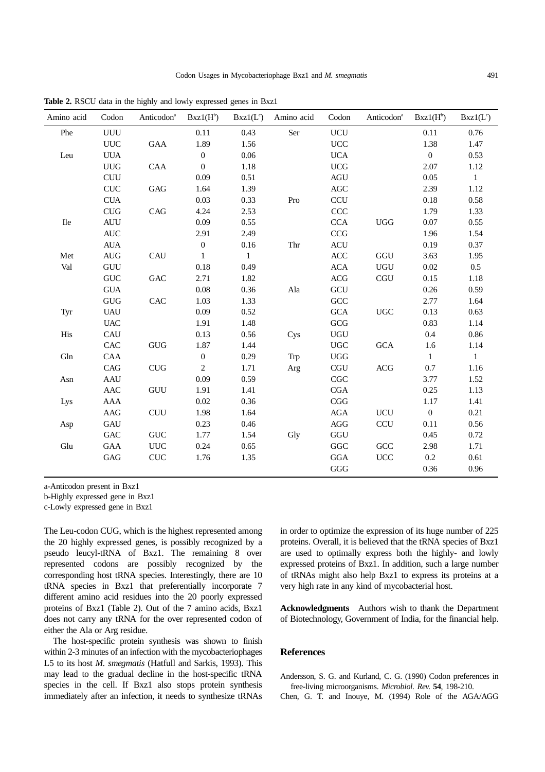| Amino acid    | Codon             | Anticodon <sup>a</sup>      | $Bxz1(H^b)$      | $Bxz1(L^c)$  | Amino acid | Codon             | Anticodon <sup>a</sup> | $Bxz1(H^b)$    | $Bxz1(L^c)$  |
|---------------|-------------------|-----------------------------|------------------|--------------|------------|-------------------|------------------------|----------------|--------------|
| Phe           | <b>UUU</b>        |                             | 0.11             | 0.43         | Ser        | <b>UCU</b>        |                        | 0.11           | 0.76         |
|               | <b>UUC</b>        | GAA                         | 1.89             | 1.56         |            | $_{\mathrm{UCC}}$ |                        | 1.38           | 1.47         |
| Leu           | <b>UUA</b>        |                             | $\boldsymbol{0}$ | 0.06         |            | <b>UCA</b>        |                        | $\overline{0}$ | 0.53         |
|               | ${\rm UUG}$       | CAA                         | $\boldsymbol{0}$ | 1.18         |            | <b>UCG</b>        |                        | 2.07           | 1.12         |
|               | <b>CUU</b>        |                             | 0.09             | 0.51         |            | <b>AGU</b>        |                        | 0.05           | $\mathbf{1}$ |
|               | <b>CUC</b>        | $\operatorname{GAG}$        | 1.64             | 1.39         |            | AGC               |                        | 2.39           | 1.12         |
|               | <b>CUA</b>        |                             | 0.03             | 0.33         | Pro        | <b>CCU</b>        |                        | 0.18           | 0.58         |
|               | CUG               | CAG                         | 4.24             | 2.53         |            | CCC               |                        | 1.79           | 1.33         |
| $\rm I\!I\!e$ | <b>AUU</b>        |                             | 0.09             | 0.55         |            | <b>CCA</b>        | $UGG$                  | 0.07           | 0.55         |
|               | $\mbox{AUC}$      |                             | 2.91             | 2.49         |            | CCG               |                        | 1.96           | 1.54         |
|               | <b>AUA</b>        |                             | $\boldsymbol{0}$ | 0.16         | Thr        | $\mbox{ACU}$      |                        | 0.19           | 0.37         |
| Met           | AUG               | CAU                         | $\mathbf{1}$     | $\mathbf{1}$ |            | $\rm ACC$         | $\rm GGU$              | 3.63           | 1.95         |
| Val           | <b>GUU</b>        |                             | 0.18             | 0.49         |            | <b>ACA</b>        | <b>UGU</b>             | 0.02           | 0.5          |
|               | <b>GUC</b>        | $\operatorname{GAC}$        | 2.71             | 1.82         |            | <b>ACG</b>        | <b>CGU</b>             | 0.15           | 1.18         |
|               | <b>GUA</b>        |                             | 0.08             | 0.36         | Ala        | GCU               |                        | 0.26           | 0.59         |
|               | GUG               | CAC                         | 1.03             | 1.33         |            | $\rm{GCC}$        |                        | 2.77           | 1.64         |
| Tyr           | <b>UAU</b>        |                             | 0.09             | 0.52         |            | <b>GCA</b>        | $_{\mathrm UGC}$       | 0.13           | 0.63         |
|               | <b>UAC</b>        |                             | 1.91             | 1.48         |            | GCG               |                        | 0.83           | 1.14         |
| His           | CAU               |                             | 0.13             | 0.56         | Cys        | ${\rm UGU}$       |                        | 0.4            | 0.86         |
|               | CAC               | <b>GUG</b>                  | 1.87             | 1.44         |            | $_{\mathrm{UGC}}$ | <b>GCA</b>             | 1.6            | 1.14         |
| Gln           | CAA               |                             | $\boldsymbol{0}$ | 0.29         | Trp        | $_{\rm UGG}$      |                        | $\mathbf{1}$   | $\mathbf{1}$ |
|               | CAG               | CUG                         | $\overline{2}$   | 1.71         | Arg        | CGU               | <b>ACG</b>             | 0.7            | 1.16         |
| Asn           | AAU               |                             | 0.09             | 0.59         |            | $\rm CGC$         |                        | 3.77           | 1.52         |
|               | AAC               | GUU                         | 1.91             | 1.41         |            | CGA               |                        | 0.25           | 1.13         |
| Lys           | AAA               |                             | $0.02\,$         | 0.36         |            | CGG               |                        | 1.17           | 1.41         |
|               | AAG               | <b>CUU</b>                  | 1.98             | 1.64         |            | AGA               | <b>UCU</b>             | $\mathbf{0}$   | 0.21         |
| Asp           | GAU               |                             | 0.23             | 0.46         |            | AGG               | <b>CCU</b>             | 0.11           | 0.56         |
|               | $_{\mathrm{GAC}}$ | $\ensuremath{\mathsf{GUC}}$ | 1.77             | 1.54         | Gly        | $\rm GGU$         |                        | 0.45           | 0.72         |
| Glu           | GAA               | $UUC$                       | 0.24             | 0.65         |            | $\rm GGC$         | GCC                    | 2.98           | 1.71         |
|               | GAG               | ${\rm CUC}$                 | 1.76             | 1.35         |            | $_{\rm GGA}$      | UCC                    | 0.2            | 0.61         |
|               |                   |                             |                  |              |            | GGG               |                        | 0.36           | 0.96         |

**Table 2.** RSCU data in the highly and lowly expressed genes in Bxz1

a-Anticodon present in Bxz1

b-Highly expressed gene in Bxz1

c-Lowly expressed gene in Bxz1

The Leu-codon CUG, which is the highest represented among the 20 highly expressed genes, is possibly recognized by a pseudo leucyl-tRNA of Bxz1. The remaining 8 over represented codons are possibly recognized by the corresponding host tRNA species. Interestingly, there are 10 tRNA species in Bxz1 that preferentially incorporate 7 different amino acid residues into the 20 poorly expressed proteins of Bxz1 (Table 2). Out of the 7 amino acids, Bxz1 does not carry any tRNA for the over represented codon of either the Ala or Arg residue.

The host-specific protein synthesis was shown to finish within 2-3 minutes of an infection with the mycobacteriophages L5 to its host *M. smegmatis* (Hatfull and Sarkis, 1993). This may lead to the gradual decline in the host-specific tRNA species in the cell. If Bxz1 also stops protein synthesis immediately after an infection, it needs to synthesize tRNAs in order to optimize the expression of its huge number of 225 proteins. Overall, it is believed that the tRNA species of Bxz1 are used to optimally express both the highly- and lowly expressed proteins of Bxz1. In addition, such a large number of tRNAs might also help Bxz1 to express its proteins at a very high rate in any kind of mycobacterial host.

**Acknowledgments** Authors wish to thank the Department of Biotechnology, Government of India, for the financial help.

# **References**

Andersson, S. G. and Kurland, C. G. (1990) Codon preferences in free-living microorganisms. *Microbiol. Rev*. **54**, 198-210.

Chen, G. T. and Inouye, M. (1994) Role of the AGA/AGG